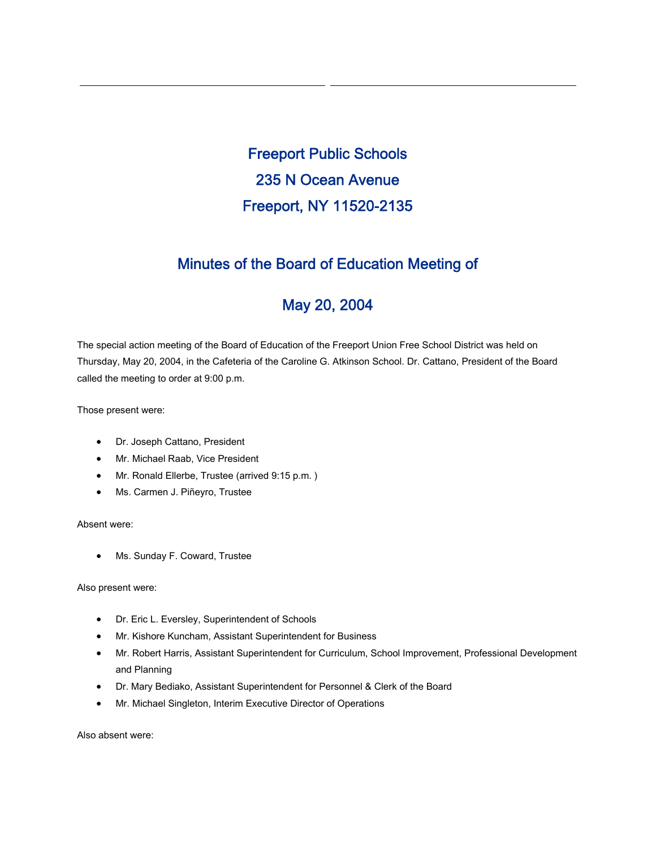Freeport Public Schools 235 N Ocean Avenue Freeport, NY 11520-2135

## Minutes of the Board of Education Meeting of

# May 20, 2004

The special action meeting of the Board of Education of the Freeport Union Free School District was held on Thursday, May 20, 2004, in the Cafeteria of the Caroline G. Atkinson School. Dr. Cattano, President of the Board called the meeting to order at 9:00 p.m.

Those present were:

- Dr. Joseph Cattano, President
- Mr. Michael Raab, Vice President
- Mr. Ronald Ellerbe, Trustee (arrived 9:15 p.m. )
- Ms. Carmen J. Piñeyro, Trustee

Absent were:

• Ms. Sunday F. Coward, Trustee

Also present were:

- Dr. Eric L. Eversley, Superintendent of Schools
- Mr. Kishore Kuncham, Assistant Superintendent for Business
- Mr. Robert Harris, Assistant Superintendent for Curriculum, School Improvement, Professional Development and Planning
- Dr. Mary Bediako, Assistant Superintendent for Personnel & Clerk of the Board
- Mr. Michael Singleton, Interim Executive Director of Operations

Also absent were: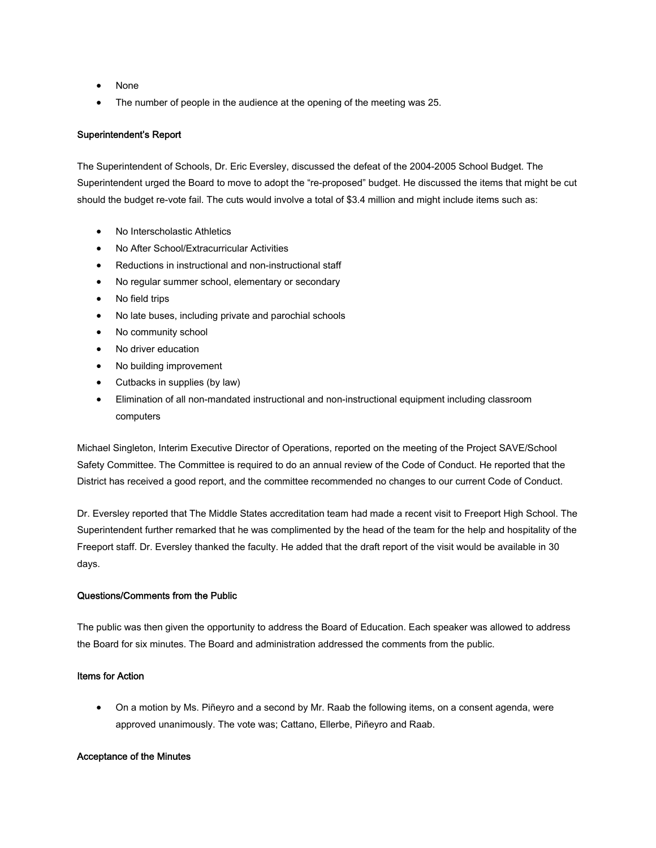- None
- The number of people in the audience at the opening of the meeting was 25.

## Superintendent's Report

The Superintendent of Schools, Dr. Eric Eversley, discussed the defeat of the 2004-2005 School Budget. The Superintendent urged the Board to move to adopt the "re-proposed" budget. He discussed the items that might be cut should the budget re-vote fail. The cuts would involve a total of \$3.4 million and might include items such as:

- No Interscholastic Athletics
- No After School/Extracurricular Activities
- Reductions in instructional and non-instructional staff
- No regular summer school, elementary or secondary
- No field trips
- No late buses, including private and parochial schools
- No community school
- No driver education
- No building improvement
- Cutbacks in supplies (by law)
- Elimination of all non-mandated instructional and non-instructional equipment including classroom computers

Michael Singleton, Interim Executive Director of Operations, reported on the meeting of the Project SAVE/School Safety Committee. The Committee is required to do an annual review of the Code of Conduct. He reported that the District has received a good report, and the committee recommended no changes to our current Code of Conduct.

Dr. Eversley reported that The Middle States accreditation team had made a recent visit to Freeport High School. The Superintendent further remarked that he was complimented by the head of the team for the help and hospitality of the Freeport staff. Dr. Eversley thanked the faculty. He added that the draft report of the visit would be available in 30 days.

## Questions/Comments from the Public

The public was then given the opportunity to address the Board of Education. Each speaker was allowed to address the Board for six minutes. The Board and administration addressed the comments from the public.

#### Items for Action

• On a motion by Ms. Piñeyro and a second by Mr. Raab the following items, on a consent agenda, were approved unanimously. The vote was; Cattano, Ellerbe, Piñeyro and Raab.

#### Acceptance of the Minutes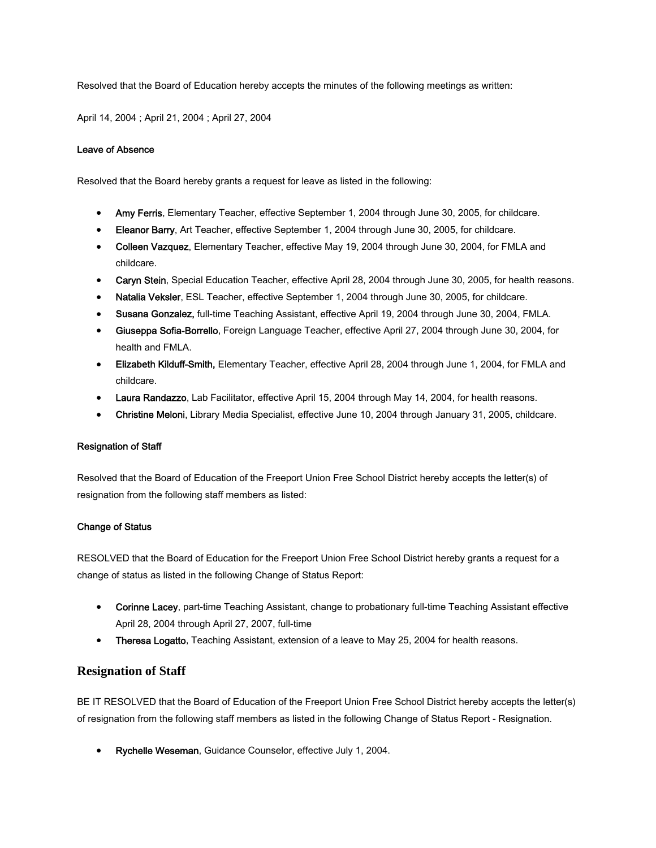Resolved that the Board of Education hereby accepts the minutes of the following meetings as written:

April 14, 2004 ; April 21, 2004 ; April 27, 2004

## Leave of Absence

Resolved that the Board hereby grants a request for leave as listed in the following:

- Amy Ferris, Elementary Teacher, effective September 1, 2004 through June 30, 2005, for childcare.
- Eleanor Barry, Art Teacher, effective September 1, 2004 through June 30, 2005, for childcare.
- Colleen Vazquez, Elementary Teacher, effective May 19, 2004 through June 30, 2004, for FMLA and childcare.
- Caryn Stein, Special Education Teacher, effective April 28, 2004 through June 30, 2005, for health reasons.
- Natalia Veksler, ESL Teacher, effective September 1, 2004 through June 30, 2005, for childcare.
- Susana Gonzalez, full-time Teaching Assistant, effective April 19, 2004 through June 30, 2004, FMLA.
- Giuseppa Sofia-Borrello, Foreign Language Teacher, effective April 27, 2004 through June 30, 2004, for health and FMLA.
- Elizabeth Kilduff-Smith, Elementary Teacher, effective April 28, 2004 through June 1, 2004, for FMLA and childcare.
- Laura Randazzo, Lab Facilitator, effective April 15, 2004 through May 14, 2004, for health reasons.
- Christine Meloni, Library Media Specialist, effective June 10, 2004 through January 31, 2005, childcare.

#### Resignation of Staff

Resolved that the Board of Education of the Freeport Union Free School District hereby accepts the letter(s) of resignation from the following staff members as listed:

#### Change of Status

RESOLVED that the Board of Education for the Freeport Union Free School District hereby grants a request for a change of status as listed in the following Change of Status Report:

- Corinne Lacey, part-time Teaching Assistant, change to probationary full-time Teaching Assistant effective April 28, 2004 through April 27, 2007, full-time
- Theresa Logatto, Teaching Assistant, extension of a leave to May 25, 2004 for health reasons.

## **Resignation of Staff**

BE IT RESOLVED that the Board of Education of the Freeport Union Free School District hereby accepts the letter(s) of resignation from the following staff members as listed in the following Change of Status Report - Resignation.

• Rychelle Weseman, Guidance Counselor, effective July 1, 2004.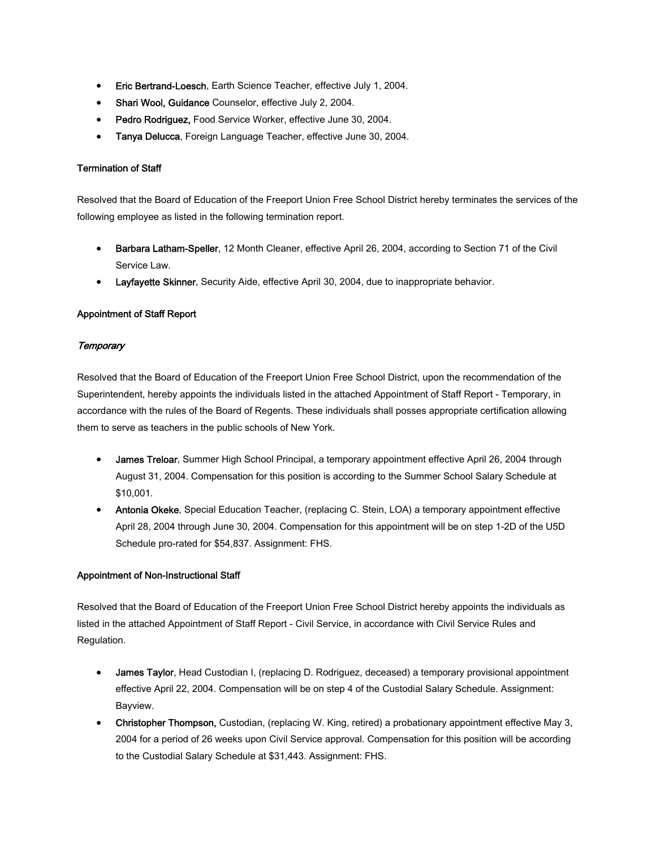- Eric Bertrand-Loesch, Earth Science Teacher, effective July 1, 2004.
- Shari Wool, Guidance Counselor, effective July 2, 2004.
- Pedro Rodriguez, Food Service Worker, effective June 30, 2004.
- Tanya Delucca, Foreign Language Teacher, effective June 30, 2004.

## Termination of Staff

Resolved that the Board of Education of the Freeport Union Free School District hereby terminates the services of the following employee as listed in the following termination report.

- Barbara Latham-Speller, 12 Month Cleaner, effective April 26, 2004, according to Section 71 of the Civil Service Law.
- Layfayette Skinner, Security Aide, effective April 30, 2004, due to inappropriate behavior.

## Appointment of Staff Report

## **Temporary**

Resolved that the Board of Education of the Freeport Union Free School District, upon the recommendation of the Superintendent, hereby appoints the individuals listed in the attached Appointment of Staff Report - Temporary, in accordance with the rules of the Board of Regents. These individuals shall posses appropriate certification allowing them to serve as teachers in the public schools of New York.

- James Treloar, Summer High School Principal, a temporary appointment effective April 26, 2004 through August 31, 2004. Compensation for this position is according to the Summer School Salary Schedule at \$10,001.
- Antonia Okeke, Special Education Teacher, (replacing C. Stein, LOA) a temporary appointment effective April 28, 2004 through June 30, 2004. Compensation for this appointment will be on step 1-2D of the U5D Schedule pro-rated for \$54,837. Assignment: FHS.

## Appointment of Non-Instructional Staff

Resolved that the Board of Education of the Freeport Union Free School District hereby appoints the individuals as listed in the attached Appointment of Staff Report - Civil Service, in accordance with Civil Service Rules and Regulation.

- James Taylor, Head Custodian I, (replacing D. Rodriguez, deceased) a temporary provisional appointment effective April 22, 2004. Compensation will be on step 4 of the Custodial Salary Schedule. Assignment: Bayview.
- Christopher Thompson, Custodian, (replacing W. King, retired) a probationary appointment effective May 3, 2004 for a period of 26 weeks upon Civil Service approval. Compensation for this position will be according to the Custodial Salary Schedule at \$31,443. Assignment: FHS.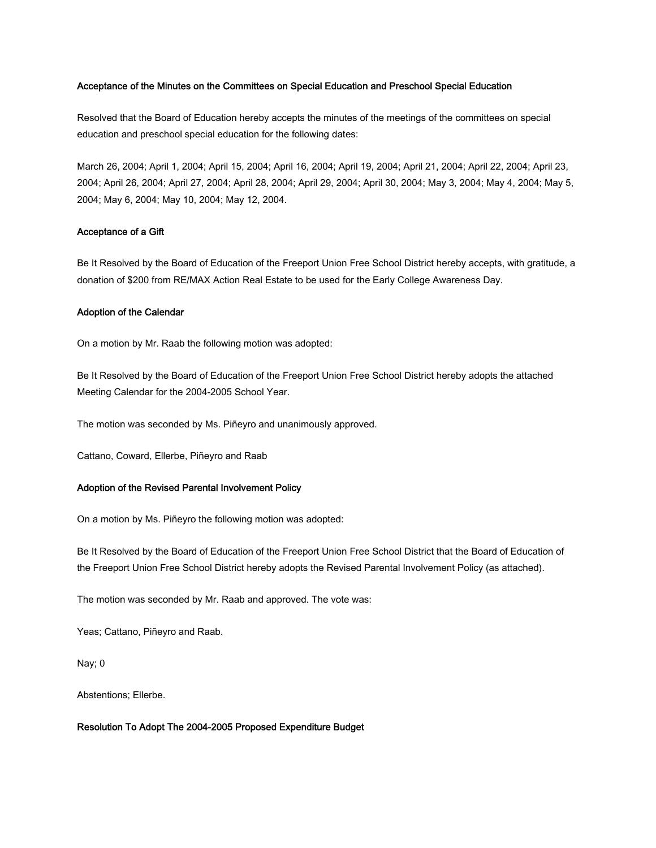#### Acceptance of the Minutes on the Committees on Special Education and Preschool Special Education

Resolved that the Board of Education hereby accepts the minutes of the meetings of the committees on special education and preschool special education for the following dates:

March 26, 2004; April 1, 2004; April 15, 2004; April 16, 2004; April 19, 2004; April 21, 2004; April 22, 2004; April 23, 2004; April 26, 2004; April 27, 2004; April 28, 2004; April 29, 2004; April 30, 2004; May 3, 2004; May 4, 2004; May 5, 2004; May 6, 2004; May 10, 2004; May 12, 2004.

#### Acceptance of a Gift

Be It Resolved by the Board of Education of the Freeport Union Free School District hereby accepts, with gratitude, a donation of \$200 from RE/MAX Action Real Estate to be used for the Early College Awareness Day.

## Adoption of the Calendar

On a motion by Mr. Raab the following motion was adopted:

Be It Resolved by the Board of Education of the Freeport Union Free School District hereby adopts the attached Meeting Calendar for the 2004-2005 School Year.

The motion was seconded by Ms. Piñeyro and unanimously approved.

Cattano, Coward, Ellerbe, Piñeyro and Raab

## Adoption of the Revised Parental Involvement Policy

On a motion by Ms. Piñeyro the following motion was adopted:

Be It Resolved by the Board of Education of the Freeport Union Free School District that the Board of Education of the Freeport Union Free School District hereby adopts the Revised Parental Involvement Policy (as attached).

The motion was seconded by Mr. Raab and approved. The vote was:

Yeas; Cattano, Piñeyro and Raab.

Nay; 0

Abstentions; Ellerbe.

## Resolution To Adopt The 2004-2005 Proposed Expenditure Budget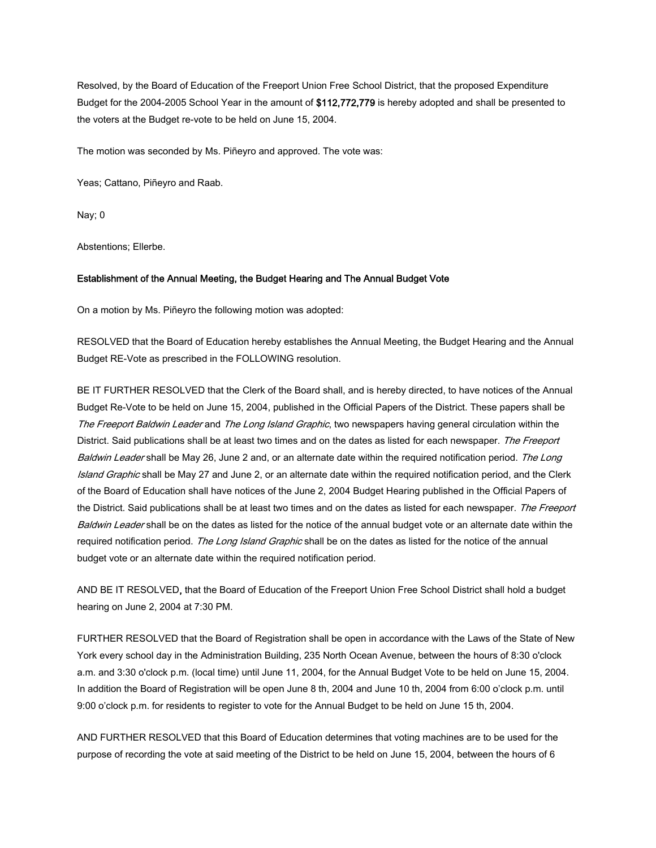Resolved, by the Board of Education of the Freeport Union Free School District, that the proposed Expenditure Budget for the 2004-2005 School Year in the amount of \$112,772,779 is hereby adopted and shall be presented to the voters at the Budget re-vote to be held on June 15, 2004.

The motion was seconded by Ms. Piñeyro and approved. The vote was:

Yeas; Cattano, Piñeyro and Raab.

Nay; 0

Abstentions; Ellerbe.

#### Establishment of the Annual Meeting, the Budget Hearing and The Annual Budget Vote

On a motion by Ms. Piñeyro the following motion was adopted:

RESOLVED that the Board of Education hereby establishes the Annual Meeting, the Budget Hearing and the Annual Budget RE-Vote as prescribed in the FOLLOWING resolution.

BE IT FURTHER RESOLVED that the Clerk of the Board shall, and is hereby directed, to have notices of the Annual Budget Re-Vote to be held on June 15, 2004, published in the Official Papers of the District. These papers shall be The Freeport Baldwin Leader and The Long Island Graphic, two newspapers having general circulation within the District. Said publications shall be at least two times and on the dates as listed for each newspaper. The Freeport Baldwin Leader shall be May 26, June 2 and, or an alternate date within the required notification period. The Long Island Graphic shall be May 27 and June 2, or an alternate date within the required notification period, and the Clerk of the Board of Education shall have notices of the June 2, 2004 Budget Hearing published in the Official Papers of the District. Said publications shall be at least two times and on the dates as listed for each newspaper. The Freeport Baldwin Leader shall be on the dates as listed for the notice of the annual budget vote or an alternate date within the required notification period. The Long Island Graphic shall be on the dates as listed for the notice of the annual budget vote or an alternate date within the required notification period.

AND BE IT RESOLVED, that the Board of Education of the Freeport Union Free School District shall hold a budget hearing on June 2, 2004 at 7:30 PM.

FURTHER RESOLVED that the Board of Registration shall be open in accordance with the Laws of the State of New York every school day in the Administration Building, 235 North Ocean Avenue, between the hours of 8:30 o'clock a.m. and 3:30 o'clock p.m. (local time) until June 11, 2004, for the Annual Budget Vote to be held on June 15, 2004. In addition the Board of Registration will be open June 8 th, 2004 and June 10 th, 2004 from 6:00 o'clock p.m. until 9:00 o'clock p.m. for residents to register to vote for the Annual Budget to be held on June 15 th, 2004.

AND FURTHER RESOLVED that this Board of Education determines that voting machines are to be used for the purpose of recording the vote at said meeting of the District to be held on June 15, 2004, between the hours of 6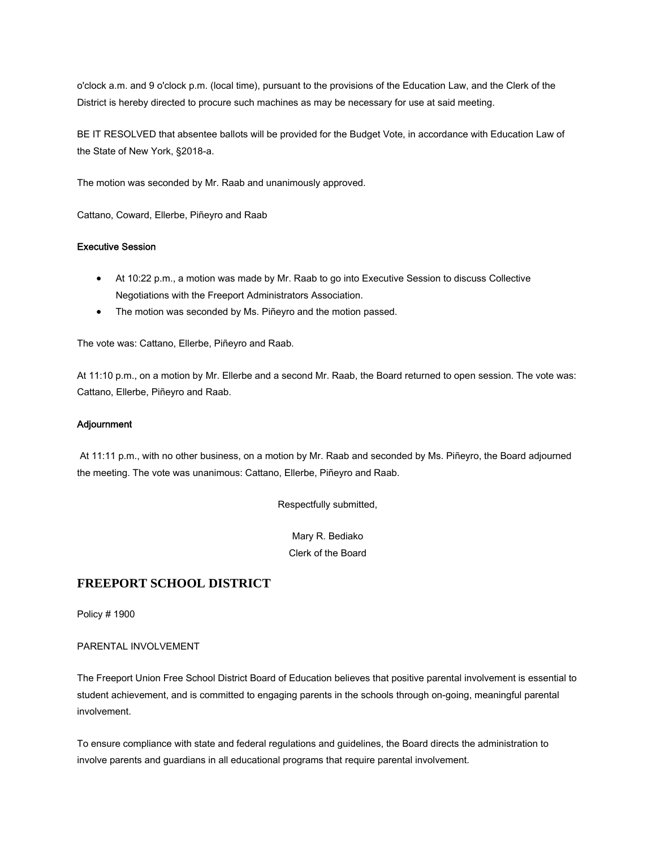o'clock a.m. and 9 o'clock p.m. (local time), pursuant to the provisions of the Education Law, and the Clerk of the District is hereby directed to procure such machines as may be necessary for use at said meeting.

BE IT RESOLVED that absentee ballots will be provided for the Budget Vote, in accordance with Education Law of the State of New York, §2018-a.

The motion was seconded by Mr. Raab and unanimously approved.

Cattano, Coward, Ellerbe, Piñeyro and Raab

## Executive Session

- At 10:22 p.m., a motion was made by Mr. Raab to go into Executive Session to discuss Collective Negotiations with the Freeport Administrators Association.
- The motion was seconded by Ms. Piñeyro and the motion passed.

The vote was: Cattano, Ellerbe, Piñeyro and Raab.

At 11:10 p.m., on a motion by Mr. Ellerbe and a second Mr. Raab, the Board returned to open session. The vote was: Cattano, Ellerbe, Piñeyro and Raab.

## **Adjournment**

 At 11:11 p.m., with no other business, on a motion by Mr. Raab and seconded by Ms. Piñeyro, the Board adjourned the meeting. The vote was unanimous: Cattano, Ellerbe, Piñeyro and Raab.

Respectfully submitted,

Mary R. Bediako Clerk of the Board

## **FREEPORT SCHOOL DISTRICT**

Policy # 1900

PARENTAL INVOLVEMENT

The Freeport Union Free School District Board of Education believes that positive parental involvement is essential to student achievement, and is committed to engaging parents in the schools through on-going, meaningful parental involvement.

To ensure compliance with state and federal regulations and guidelines, the Board directs the administration to involve parents and guardians in all educational programs that require parental involvement.